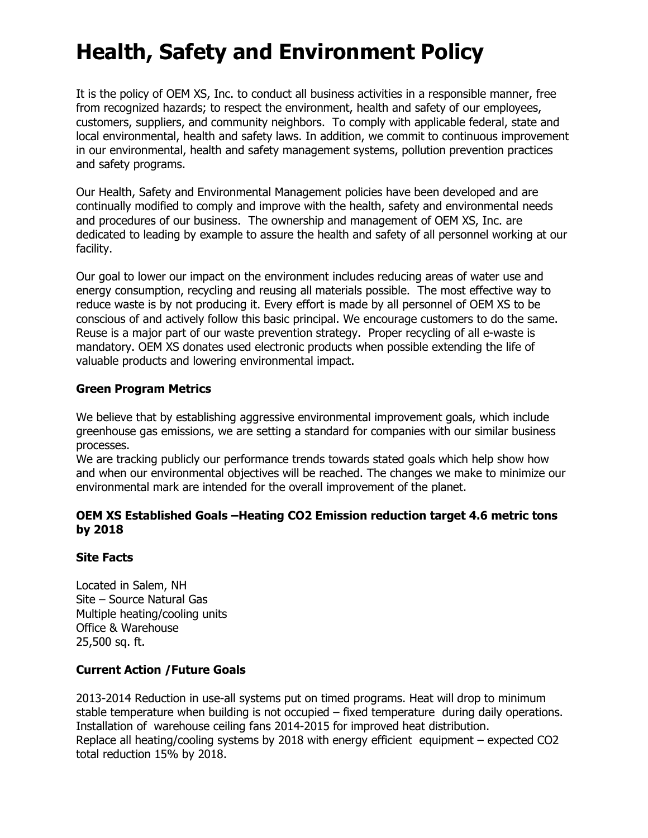# Health, Safety and Environment Policy

It is the policy of OEM XS, Inc. to conduct all business activities in a responsible manner, free from recognized hazards; to respect the environment, health and safety of our employees, customers, suppliers, and community neighbors. To comply with applicable federal, state and local environmental, health and safety laws. In addition, we commit to continuous improvement in our environmental, health and safety management systems, pollution prevention practices and safety programs.

Our Health, Safety and Environmental Management policies have been developed and are continually modified to comply and improve with the health, safety and environmental needs and procedures of our business. The ownership and management of OEM XS, Inc. are dedicated to leading by example to assure the health and safety of all personnel working at our facility.

Our goal to lower our impact on the environment includes reducing areas of water use and energy consumption, recycling and reusing all materials possible. The most effective way to reduce waste is by not producing it. Every effort is made by all personnel of OEM XS to be conscious of and actively follow this basic principal. We encourage customers to do the same. Reuse is a major part of our waste prevention strategy. Proper recycling of all e-waste is mandatory. OEM XS donates used electronic products when possible extending the life of valuable products and lowering environmental impact.

#### Green Program Metrics

We believe that by establishing aggressive environmental improvement goals, which include greenhouse gas emissions, we are setting a standard for companies with our similar business processes.

We are tracking publicly our performance trends towards stated goals which help show how and when our environmental objectives will be reached. The changes we make to minimize our environmental mark are intended for the overall improvement of the planet.

#### OEM XS Established Goals –Heating CO2 Emission reduction target 4.6 metric tons by 2018

### Site Facts

Located in Salem, NH Site – Source Natural Gas Multiple heating/cooling units Office & Warehouse 25,500 sq. ft.

### Current Action /Future Goals

2013-2014 Reduction in use-all systems put on timed programs. Heat will drop to minimum stable temperature when building is not occupied – fixed temperature during daily operations. Installation of warehouse ceiling fans 2014-2015 for improved heat distribution. Replace all heating/cooling systems by 2018 with energy efficient equipment – expected CO2 total reduction 15% by 2018.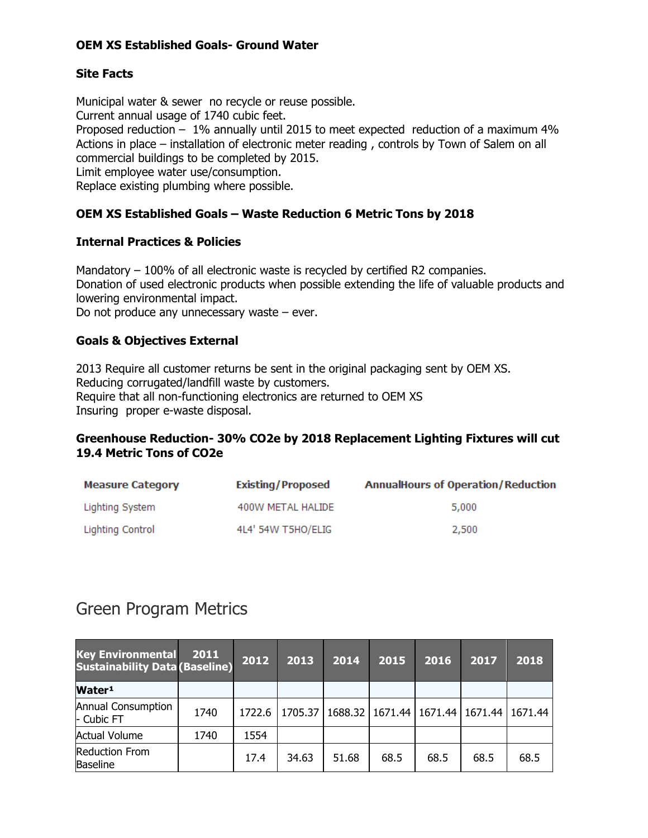### OEM XS Established Goals- Ground Water

# Site Facts

Municipal water & sewer no recycle or reuse possible. Current annual usage of 1740 cubic feet. Proposed reduction – 1% annually until 2015 to meet expected reduction of a maximum 4% Actions in place – installation of electronic meter reading , controls by Town of Salem on all commercial buildings to be completed by 2015. Limit employee water use/consumption. Replace existing plumbing where possible.

# OEM XS Established Goals – Waste Reduction 6 Metric Tons by 2018

#### Internal Practices & Policies

Mandatory – 100% of all electronic waste is recycled by certified R2 companies. Donation of used electronic products when possible extending the life of valuable products and lowering environmental impact.

Do not produce any unnecessary waste – ever.

### Goals & Objectives External

2013 Require all customer returns be sent in the original packaging sent by OEM XS. Reducing corrugated/landfill waste by customers. Require that all non-functioning electronics are returned to OEM XS Insuring proper e-waste disposal.

### Greenhouse Reduction- 30% CO2e by 2018 Replacement Lighting Fixtures will cut 19.4 Metric Tons of CO2e

| <b>Measure Category</b> | <b>Existing/Proposed</b> | <b>AnnualHours of Operation/Reduction</b> |
|-------------------------|--------------------------|-------------------------------------------|
| Lighting System         | 400W METAL HALIDE        | 5,000                                     |
| Lighting Control        | 4L4' 54W T5HO/ELIG       | 2,500                                     |

# Green Program Metrics

| <b>Key Environmental</b><br><b>Sustainability Data (Baseline)</b> | 2011 | 2012   | 2013    | 2014    | 2015    | 2016    | 2017    | 2018    |
|-------------------------------------------------------------------|------|--------|---------|---------|---------|---------|---------|---------|
| Water <sup>1</sup>                                                |      |        |         |         |         |         |         |         |
| <b>Annual Consumption</b><br>- Cubic FT                           | 1740 | 1722.6 | 1705.37 | 1688.32 | 1671.44 | 1671.44 | 1671.44 | 1671.44 |
| <b>Actual Volume</b>                                              | 1740 | 1554   |         |         |         |         |         |         |
| <b>Reduction From</b><br>Baseline                                 |      | 17.4   | 34.63   | 51.68   | 68.5    | 68.5    | 68.5    | 68.5    |